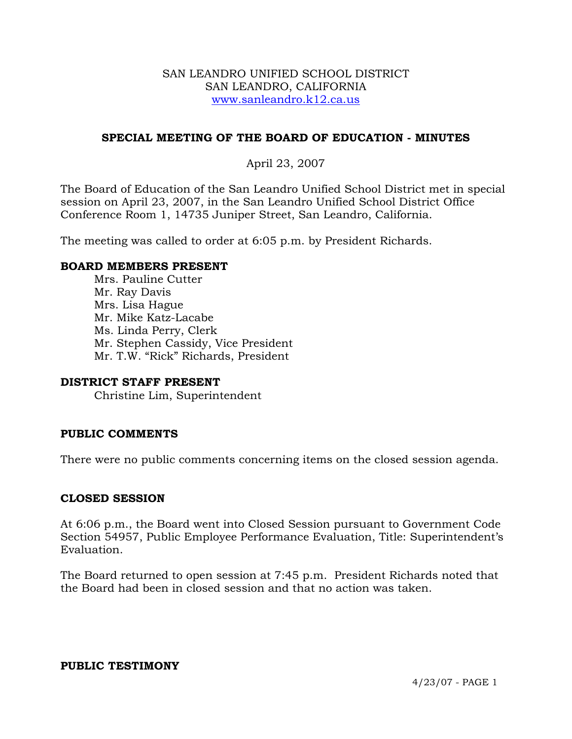#### SAN LEANDRO UNIFIED SCHOOL DISTRICT SAN LEANDRO, CALIFORNIA www.sanleandro.k12.ca.us

## **SPECIAL MEETING OF THE BOARD OF EDUCATION - MINUTES**

# April 23, 2007

The Board of Education of the San Leandro Unified School District met in special session on April 23, 2007, in the San Leandro Unified School District Office Conference Room 1, 14735 Juniper Street, San Leandro, California.

The meeting was called to order at 6:05 p.m. by President Richards.

### **BOARD MEMBERS PRESENT**

Mrs. Pauline Cutter Mr. Ray Davis Mrs. Lisa Hague Mr. Mike Katz-Lacabe Ms. Linda Perry, Clerk Mr. Stephen Cassidy, Vice President Mr. T.W. "Rick" Richards, President

## **DISTRICT STAFF PRESENT**

Christine Lim, Superintendent

## **PUBLIC COMMENTS**

There were no public comments concerning items on the closed session agenda.

#### **CLOSED SESSION**

At 6:06 p.m., the Board went into Closed Session pursuant to Government Code Section 54957, Public Employee Performance Evaluation, Title: Superintendent's Evaluation.

The Board returned to open session at 7:45 p.m. President Richards noted that the Board had been in closed session and that no action was taken.

#### **PUBLIC TESTIMONY**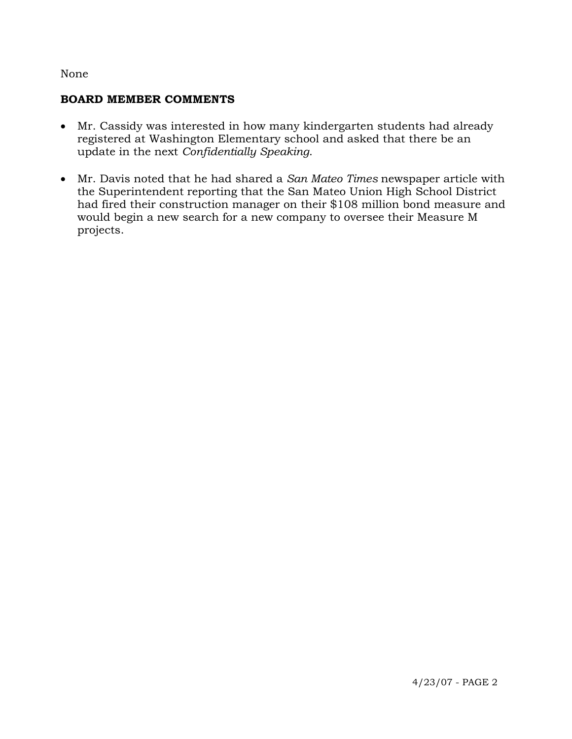### None

### **BOARD MEMBER COMMENTS**

- Mr. Cassidy was interested in how many kindergarten students had already registered at Washington Elementary school and asked that there be an update in the next *Confidentially Speaking*.
- Mr. Davis noted that he had shared a *San Mateo Times* newspaper article with the Superintendent reporting that the San Mateo Union High School District had fired their construction manager on their \$108 million bond measure and would begin a new search for a new company to oversee their Measure M projects.